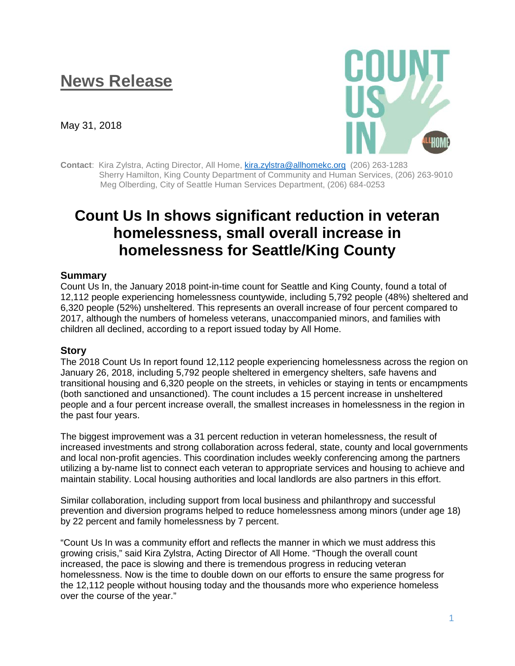# **News Release**

May 31, 2018



**Contact**: Kira Zylstra, Acting Director, All Home, [kira.zylstra@allhomekc.org](mailto:kira.zylstra@allhomekc.org) (206) 263-1283 Sherry Hamilton, King County Department of Community and Human Services, (206) 263-9010 Meg Olberding, City of Seattle Human Services Department, (206) 684-0253

# **Count Us In shows significant reduction in veteran homelessness, small overall increase in homelessness for Seattle/King County**

# **Summary**

Count Us In, the January 2018 point-in-time count for Seattle and King County, found a total of 12,112 people experiencing homelessness countywide, including 5,792 people (48%) sheltered and 6,320 people (52%) unsheltered. This represents an overall increase of four percent compared to 2017, although the numbers of homeless veterans, unaccompanied minors, and families with children all declined, according to a report issued today by All Home.

#### **Story**

The 2018 Count Us In report found 12,112 people experiencing homelessness across the region on January 26, 2018, including 5,792 people sheltered in emergency shelters, safe havens and transitional housing and 6,320 people on the streets, in vehicles or staying in tents or encampments (both sanctioned and unsanctioned). The count includes a 15 percent increase in unsheltered people and a four percent increase overall, the smallest increases in homelessness in the region in the past four years.

The biggest improvement was a 31 percent reduction in veteran homelessness, the result of increased investments and strong collaboration across federal, state, county and local governments and local non-profit agencies. This coordination includes weekly conferencing among the partners utilizing a by-name list to connect each veteran to appropriate services and housing to achieve and maintain stability. Local housing authorities and local landlords are also partners in this effort.

Similar collaboration, including support from local business and philanthropy and successful prevention and diversion programs helped to reduce homelessness among minors (under age 18) by 22 percent and family homelessness by 7 percent.

"Count Us In was a community effort and reflects the manner in which we must address this growing crisis," said Kira Zylstra, Acting Director of All Home. "Though the overall count increased, the pace is slowing and there is tremendous progress in reducing veteran homelessness. Now is the time to double down on our efforts to ensure the same progress for the 12,112 people without housing today and the thousands more who experience homeless over the course of the year."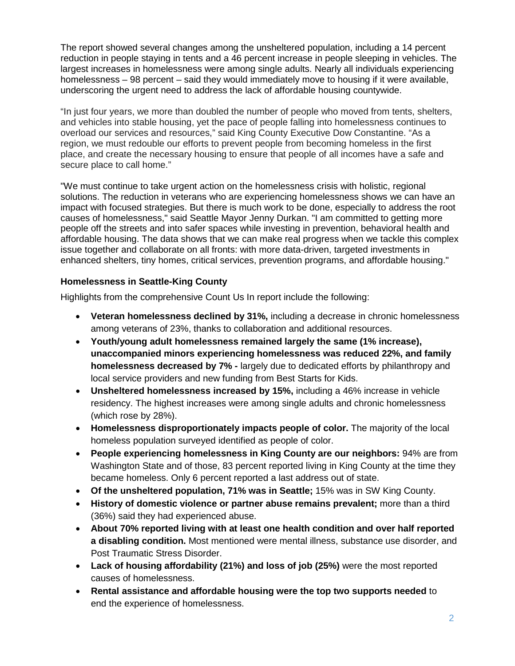The report showed several changes among the unsheltered population, including a 14 percent reduction in people staying in tents and a 46 percent increase in people sleeping in vehicles. The largest increases in homelessness were among single adults. Nearly all individuals experiencing homelessness – 98 percent – said they would immediately move to housing if it were available, underscoring the urgent need to address the lack of affordable housing countywide.

"In just four years, we more than doubled the number of people who moved from tents, shelters, and vehicles into stable housing, yet the pace of people falling into homelessness continues to overload our services and resources," said King County Executive Dow Constantine. "As a region, we must redouble our efforts to prevent people from becoming homeless in the first place, and create the necessary housing to ensure that people of all incomes have a safe and secure place to call home."

"We must continue to take urgent action on the homelessness crisis with holistic, regional solutions. The reduction in veterans who are experiencing homelessness shows we can have an impact with focused strategies. But there is much work to be done, especially to address the root causes of homelessness," said Seattle Mayor Jenny Durkan. "I am committed to getting more people off the streets and into safer spaces while investing in prevention, behavioral health and affordable housing. The data shows that we can make real progress when we tackle this complex issue together and collaborate on all fronts: with more data-driven, targeted investments in enhanced shelters, tiny homes, critical services, prevention programs, and affordable housing."

# **Homelessness in Seattle-King County**

Highlights from the comprehensive Count Us In report include the following:

- **Veteran homelessness declined by 31%,** including a decrease in chronic homelessness among veterans of 23%, thanks to collaboration and additional resources.
- **Youth/young adult homelessness remained largely the same (1% increase), unaccompanied minors experiencing homelessness was reduced 22%, and family homelessness decreased by 7% -** largely due to dedicated efforts by philanthropy and local service providers and new funding from Best Starts for Kids.
- **Unsheltered homelessness increased by 15%,** including a 46% increase in vehicle residency. The highest increases were among single adults and chronic homelessness (which rose by 28%).
- **Homelessness disproportionately impacts people of color.** The majority of the local homeless population surveyed identified as people of color.
- **People experiencing homelessness in King County are our neighbors:** 94% are from Washington State and of those, 83 percent reported living in King County at the time they became homeless. Only 6 percent reported a last address out of state.
- **Of the unsheltered population, 71% was in Seattle;** 15% was in SW King County.
- **History of domestic violence or partner abuse remains prevalent;** more than a third (36%) said they had experienced abuse.
- **About 70% reported living with at least one health condition and over half reported a disabling condition.** Most mentioned were mental illness, substance use disorder, and Post Traumatic Stress Disorder.
- **Lack of housing affordability (21%) and loss of job (25%)** were the most reported causes of homelessness.
- **Rental assistance and affordable housing were the top two supports needed** to end the experience of homelessness.